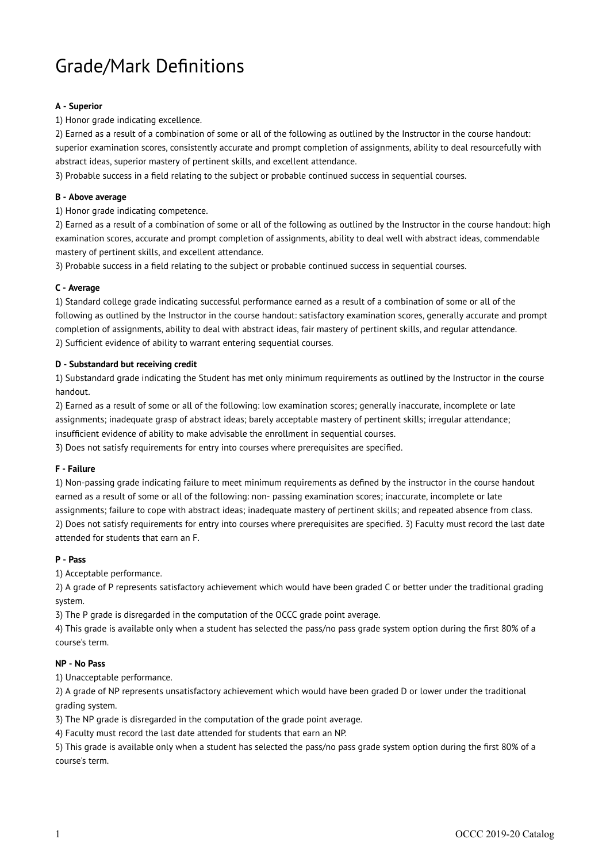# Grade/Mark Definitions

# **A - Superior**

## 1) Honor grade indicating excellence.

2) Earned as a result of a combination of some or all of the following as outlined by the Instructor in the course handout: superior examination scores, consistently accurate and prompt completion of assignments, ability to deal resourcefully with abstract ideas, superior mastery of pertinent skills, and excellent attendance.

3) Probable success in a field relating to the subject or probable continued success in sequential courses.

## **B - Above average**

1) Honor grade indicating competence.

2) Earned as a result of a combination of some or all of the following as outlined by the Instructor in the course handout: high examination scores, accurate and prompt completion of assignments, ability to deal well with abstract ideas, commendable mastery of pertinent skills, and excellent attendance.

3) Probable success in a field relating to the subject or probable continued success in sequential courses.

## **C - Average**

1) Standard college grade indicating successful performance earned as a result of a combination of some or all of the following as outlined by the Instructor in the course handout: satisfactory examination scores, generally accurate and prompt completion of assignments, ability to deal with abstract ideas, fair mastery of pertinent skills, and regular attendance. 2) Sufficient evidence of ability to warrant entering sequential courses.

## **D - Substandard but receiving credit**

1) Substandard grade indicating the Student has met only minimum requirements as outlined by the Instructor in the course handout.

2) Earned as a result of some or all of the following: low examination scores; generally inaccurate, incomplete or late assignments; inadequate grasp of abstract ideas; barely acceptable mastery of pertinent skills; irregular attendance; insufficient evidence of ability to make advisable the enrollment in sequential courses.

3) Does not satisfy requirements for entry into courses where prerequisites are specified.

#### **F - Failure**

1) Non-passing grade indicating failure to meet minimum requirements as defined by the instructor in the course handout earned as a result of some or all of the following: non- passing examination scores; inaccurate, incomplete or late assignments; failure to cope with abstract ideas; inadequate mastery of pertinent skills; and repeated absence from class. 2) Does not satisfy requirements for entry into courses where prerequisites are specified. 3) Faculty must record the last date attended for students that earn an F.

#### **P - Pass**

1) Acceptable performance.

2) A grade of P represents satisfactory achievement which would have been graded C or better under the traditional grading system.

3) The P grade is disregarded in the computation of the OCCC grade point average.

4) This grade is available only when a student has selected the pass/no pass grade system option during the first 80% of a course's term.

# **NP - No Pass**

1) Unacceptable performance.

2) A grade of NP represents unsatisfactory achievement which would have been graded D or lower under the traditional grading system.

3) The NP grade is disregarded in the computation of the grade point average.

4) Faculty must record the last date attended for students that earn an NP.

5) This grade is available only when a student has selected the pass/no pass grade system option during the first 80% of a course's term.